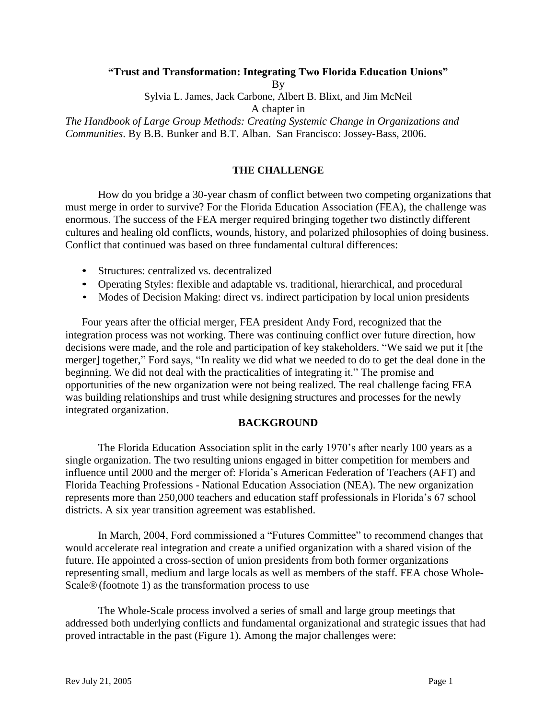#### **"Trust and Transformation: Integrating Two Florida Education Unions"**

By

Sylvia L. James, Jack Carbone, Albert B. Blixt, and Jim McNeil

A chapter in

*The Handbook of Large Group Methods: Creating Systemic Change in Organizations and Communities*. By B.B. Bunker and B.T. Alban. San Francisco: Jossey-Bass, 2006.

#### **THE CHALLENGE**

How do you bridge a 30-year chasm of conflict between two competing organizations that must merge in order to survive? For the Florida Education Association (FEA), the challenge was enormous. The success of the FEA merger required bringing together two distinctly different cultures and healing old conflicts, wounds, history, and polarized philosophies of doing business. Conflict that continued was based on three fundamental cultural differences:

- Structures: centralized vs. decentralized
- Operating Styles: flexible and adaptable vs. traditional, hierarchical, and procedural
- Modes of Decision Making: direct vs. indirect participation by local union presidents

Four years after the official merger, FEA president Andy Ford, recognized that the integration process was not working. There was continuing conflict over future direction, how decisions were made, and the role and participation of key stakeholders. "We said we put it [the merger] together," Ford says, "In reality we did what we needed to do to get the deal done in the beginning. We did not deal with the practicalities of integrating it." The promise and opportunities of the new organization were not being realized. The real challenge facing FEA was building relationships and trust while designing structures and processes for the newly integrated organization.

#### **BACKGROUND**

The Florida Education Association split in the early 1970's after nearly 100 years as a single organization. The two resulting unions engaged in bitter competition for members and influence until 2000 and the merger of: Florida's American Federation of Teachers (AFT) and Florida Teaching Professions - National Education Association (NEA). The new organization represents more than 250,000 teachers and education staff professionals in Florida's 67 school districts. A six year transition agreement was established.

In March, 2004, Ford commissioned a "Futures Committee" to recommend changes that would accelerate real integration and create a unified organization with a shared vision of the future. He appointed a cross-section of union presidents from both former organizations representing small, medium and large locals as well as members of the staff. FEA chose Whole-Scale® (footnote 1) as the transformation process to use

The Whole-Scale process involved a series of small and large group meetings that addressed both underlying conflicts and fundamental organizational and strategic issues that had proved intractable in the past (Figure 1). Among the major challenges were: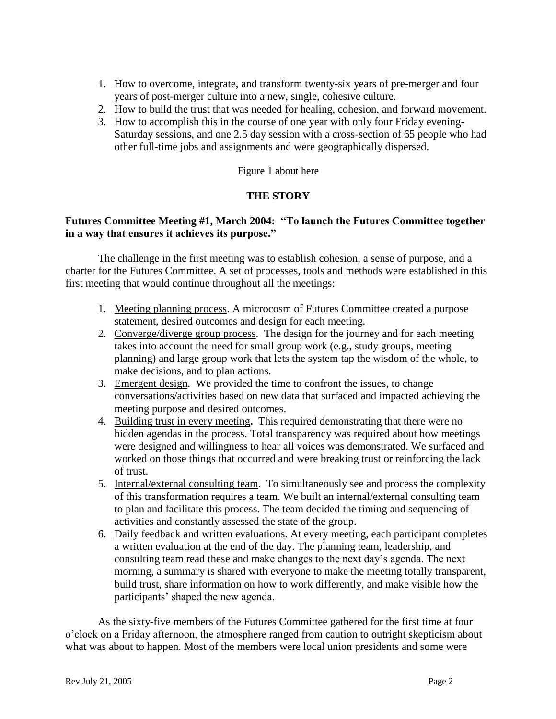- 1. How to overcome, integrate, and transform twenty-six years of pre-merger and four years of post-merger culture into a new, single, cohesive culture.
- 2. How to build the trust that was needed for healing, cohesion, and forward movement.
- 3. How to accomplish this in the course of one year with only four Friday evening-Saturday sessions, and one 2.5 day session with a cross-section of 65 people who had other full-time jobs and assignments and were geographically dispersed.

### Figure 1 about here

## **THE STORY**

## **Futures Committee Meeting #1, March 2004: "To launch the Futures Committee together in a way that ensures it achieves its purpose."**

The challenge in the first meeting was to establish cohesion, a sense of purpose, and a charter for the Futures Committee. A set of processes, tools and methods were established in this first meeting that would continue throughout all the meetings:

- 1. Meeting planning process. A microcosm of Futures Committee created a purpose statement, desired outcomes and design for each meeting.
- 2. Converge/diverge group process. The design for the journey and for each meeting takes into account the need for small group work (e.g., study groups, meeting planning) and large group work that lets the system tap the wisdom of the whole, to make decisions, and to plan actions.
- 3. Emergent design. We provided the time to confront the issues, to change conversations/activities based on new data that surfaced and impacted achieving the meeting purpose and desired outcomes.
- 4. Building trust in every meeting**.** This required demonstrating that there were no hidden agendas in the process. Total transparency was required about how meetings were designed and willingness to hear all voices was demonstrated. We surfaced and worked on those things that occurred and were breaking trust or reinforcing the lack of trust.
- 5. Internal/external consulting team. To simultaneously see and process the complexity of this transformation requires a team. We built an internal/external consulting team to plan and facilitate this process. The team decided the timing and sequencing of activities and constantly assessed the state of the group.
- 6. Daily feedback and written evaluations. At every meeting, each participant completes a written evaluation at the end of the day. The planning team, leadership, and consulting team read these and make changes to the next day's agenda. The next morning, a summary is shared with everyone to make the meeting totally transparent, build trust, share information on how to work differently, and make visible how the participants' shaped the new agenda.

As the sixty-five members of the Futures Committee gathered for the first time at four o'clock on a Friday afternoon, the atmosphere ranged from caution to outright skepticism about what was about to happen. Most of the members were local union presidents and some were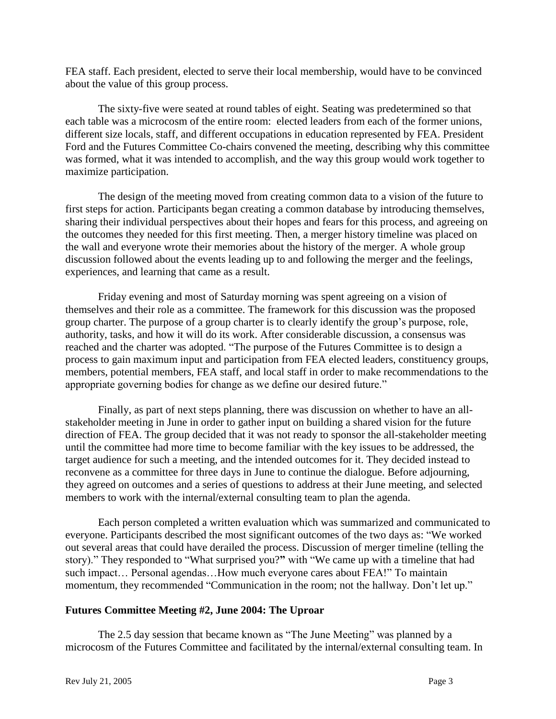FEA staff. Each president, elected to serve their local membership, would have to be convinced about the value of this group process.

The sixty-five were seated at round tables of eight. Seating was predetermined so that each table was a microcosm of the entire room: elected leaders from each of the former unions, different size locals, staff, and different occupations in education represented by FEA. President Ford and the Futures Committee Co-chairs convened the meeting, describing why this committee was formed, what it was intended to accomplish, and the way this group would work together to maximize participation.

The design of the meeting moved from creating common data to a vision of the future to first steps for action. Participants began creating a common database by introducing themselves, sharing their individual perspectives about their hopes and fears for this process, and agreeing on the outcomes they needed for this first meeting. Then, a merger history timeline was placed on the wall and everyone wrote their memories about the history of the merger. A whole group discussion followed about the events leading up to and following the merger and the feelings, experiences, and learning that came as a result.

Friday evening and most of Saturday morning was spent agreeing on a vision of themselves and their role as a committee. The framework for this discussion was the proposed group charter. The purpose of a group charter is to clearly identify the group's purpose, role, authority, tasks, and how it will do its work. After considerable discussion, a consensus was reached and the charter was adopted. "The purpose of the Futures Committee is to design a process to gain maximum input and participation from FEA elected leaders, constituency groups, members, potential members, FEA staff, and local staff in order to make recommendations to the appropriate governing bodies for change as we define our desired future."

Finally, as part of next steps planning, there was discussion on whether to have an allstakeholder meeting in June in order to gather input on building a shared vision for the future direction of FEA. The group decided that it was not ready to sponsor the all-stakeholder meeting until the committee had more time to become familiar with the key issues to be addressed, the target audience for such a meeting, and the intended outcomes for it. They decided instead to reconvene as a committee for three days in June to continue the dialogue. Before adjourning, they agreed on outcomes and a series of questions to address at their June meeting, and selected members to work with the internal/external consulting team to plan the agenda.

Each person completed a written evaluation which was summarized and communicated to everyone. Participants described the most significant outcomes of the two days as: "We worked out several areas that could have derailed the process. Discussion of merger timeline (telling the story)." They responded to "What surprised you?**"** with "We came up with a timeline that had such impact… Personal agendas…How much everyone cares about FEA!" To maintain momentum, they recommended "Communication in the room; not the hallway. Don't let up."

### **Futures Committee Meeting #2, June 2004: The Uproar**

The 2.5 day session that became known as "The June Meeting" was planned by a microcosm of the Futures Committee and facilitated by the internal/external consulting team. In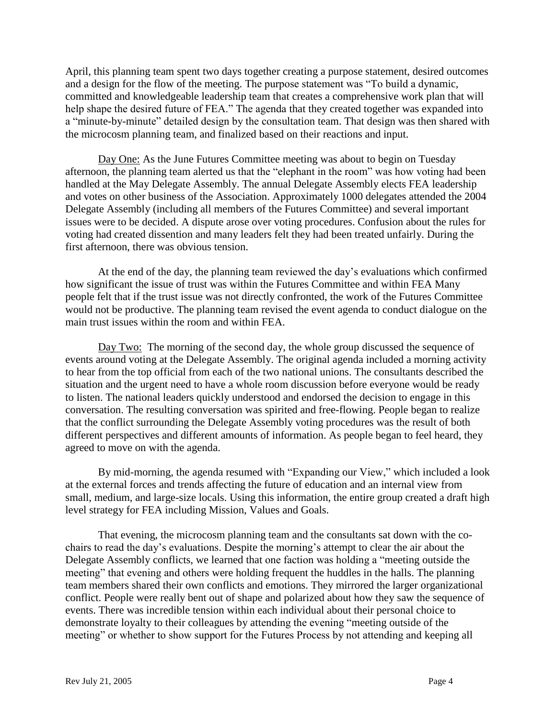April, this planning team spent two days together creating a purpose statement, desired outcomes and a design for the flow of the meeting. The purpose statement was "To build a dynamic, committed and knowledgeable leadership team that creates a comprehensive work plan that will help shape the desired future of FEA." The agenda that they created together was expanded into a "minute-by-minute" detailed design by the consultation team. That design was then shared with the microcosm planning team, and finalized based on their reactions and input.

Day One: As the June Futures Committee meeting was about to begin on Tuesday afternoon, the planning team alerted us that the "elephant in the room" was how voting had been handled at the May Delegate Assembly. The annual Delegate Assembly elects FEA leadership and votes on other business of the Association. Approximately 1000 delegates attended the 2004 Delegate Assembly (including all members of the Futures Committee) and several important issues were to be decided. A dispute arose over voting procedures. Confusion about the rules for voting had created dissention and many leaders felt they had been treated unfairly. During the first afternoon, there was obvious tension.

At the end of the day, the planning team reviewed the day's evaluations which confirmed how significant the issue of trust was within the Futures Committee and within FEA Many people felt that if the trust issue was not directly confronted, the work of the Futures Committee would not be productive. The planning team revised the event agenda to conduct dialogue on the main trust issues within the room and within FEA.

Day Two: The morning of the second day, the whole group discussed the sequence of events around voting at the Delegate Assembly. The original agenda included a morning activity to hear from the top official from each of the two national unions. The consultants described the situation and the urgent need to have a whole room discussion before everyone would be ready to listen. The national leaders quickly understood and endorsed the decision to engage in this conversation. The resulting conversation was spirited and free-flowing. People began to realize that the conflict surrounding the Delegate Assembly voting procedures was the result of both different perspectives and different amounts of information. As people began to feel heard, they agreed to move on with the agenda.

By mid-morning, the agenda resumed with "Expanding our View," which included a look at the external forces and trends affecting the future of education and an internal view from small, medium, and large-size locals. Using this information, the entire group created a draft high level strategy for FEA including Mission, Values and Goals.

That evening, the microcosm planning team and the consultants sat down with the cochairs to read the day's evaluations. Despite the morning's attempt to clear the air about the Delegate Assembly conflicts, we learned that one faction was holding a "meeting outside the meeting" that evening and others were holding frequent the huddles in the halls. The planning team members shared their own conflicts and emotions. They mirrored the larger organizational conflict. People were really bent out of shape and polarized about how they saw the sequence of events. There was incredible tension within each individual about their personal choice to demonstrate loyalty to their colleagues by attending the evening "meeting outside of the meeting" or whether to show support for the Futures Process by not attending and keeping all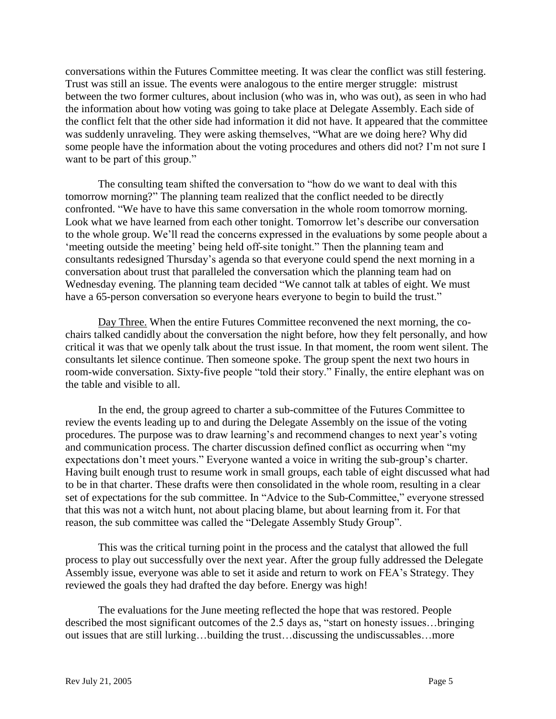conversations within the Futures Committee meeting. It was clear the conflict was still festering. Trust was still an issue. The events were analogous to the entire merger struggle: mistrust between the two former cultures, about inclusion (who was in, who was out), as seen in who had the information about how voting was going to take place at Delegate Assembly. Each side of the conflict felt that the other side had information it did not have. It appeared that the committee was suddenly unraveling. They were asking themselves, "What are we doing here? Why did some people have the information about the voting procedures and others did not? I'm not sure I want to be part of this group."

The consulting team shifted the conversation to "how do we want to deal with this tomorrow morning?" The planning team realized that the conflict needed to be directly confronted. "We have to have this same conversation in the whole room tomorrow morning. Look what we have learned from each other tonight. Tomorrow let's describe our conversation to the whole group. We'll read the concerns expressed in the evaluations by some people about a 'meeting outside the meeting' being held off-site tonight." Then the planning team and consultants redesigned Thursday's agenda so that everyone could spend the next morning in a conversation about trust that paralleled the conversation which the planning team had on Wednesday evening. The planning team decided "We cannot talk at tables of eight. We must have a 65-person conversation so everyone hears everyone to begin to build the trust."

Day Three. When the entire Futures Committee reconvened the next morning, the cochairs talked candidly about the conversation the night before, how they felt personally, and how critical it was that we openly talk about the trust issue. In that moment, the room went silent. The consultants let silence continue. Then someone spoke. The group spent the next two hours in room-wide conversation. Sixty-five people "told their story." Finally, the entire elephant was on the table and visible to all.

In the end, the group agreed to charter a sub-committee of the Futures Committee to review the events leading up to and during the Delegate Assembly on the issue of the voting procedures. The purpose was to draw learning's and recommend changes to next year's voting and communication process. The charter discussion defined conflict as occurring when "my expectations don't meet yours." Everyone wanted a voice in writing the sub-group's charter. Having built enough trust to resume work in small groups, each table of eight discussed what had to be in that charter. These drafts were then consolidated in the whole room, resulting in a clear set of expectations for the sub committee. In "Advice to the Sub-Committee," everyone stressed that this was not a witch hunt, not about placing blame, but about learning from it. For that reason, the sub committee was called the "Delegate Assembly Study Group".

This was the critical turning point in the process and the catalyst that allowed the full process to play out successfully over the next year. After the group fully addressed the Delegate Assembly issue, everyone was able to set it aside and return to work on FEA's Strategy. They reviewed the goals they had drafted the day before. Energy was high!

The evaluations for the June meeting reflected the hope that was restored. People described the most significant outcomes of the 2.5 days as, "start on honesty issues…bringing out issues that are still lurking…building the trust…discussing the undiscussables…more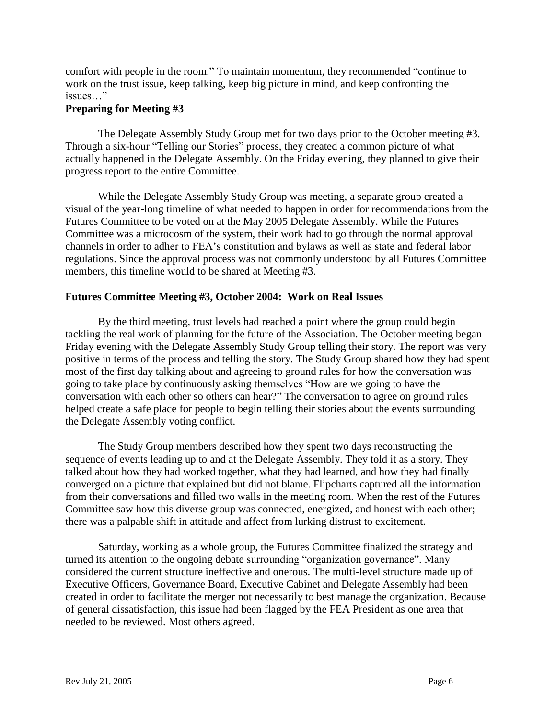comfort with people in the room." To maintain momentum, they recommended "continue to work on the trust issue, keep talking, keep big picture in mind, and keep confronting the issues…"

### **Preparing for Meeting #3**

The Delegate Assembly Study Group met for two days prior to the October meeting #3. Through a six-hour "Telling our Stories" process, they created a common picture of what actually happened in the Delegate Assembly. On the Friday evening, they planned to give their progress report to the entire Committee.

While the Delegate Assembly Study Group was meeting, a separate group created a visual of the year-long timeline of what needed to happen in order for recommendations from the Futures Committee to be voted on at the May 2005 Delegate Assembly. While the Futures Committee was a microcosm of the system, their work had to go through the normal approval channels in order to adher to FEA's constitution and bylaws as well as state and federal labor regulations. Since the approval process was not commonly understood by all Futures Committee members, this timeline would to be shared at Meeting #3.

## **Futures Committee Meeting #3, October 2004: Work on Real Issues**

By the third meeting, trust levels had reached a point where the group could begin tackling the real work of planning for the future of the Association. The October meeting began Friday evening with the Delegate Assembly Study Group telling their story. The report was very positive in terms of the process and telling the story. The Study Group shared how they had spent most of the first day talking about and agreeing to ground rules for how the conversation was going to take place by continuously asking themselves "How are we going to have the conversation with each other so others can hear?" The conversation to agree on ground rules helped create a safe place for people to begin telling their stories about the events surrounding the Delegate Assembly voting conflict.

The Study Group members described how they spent two days reconstructing the sequence of events leading up to and at the Delegate Assembly. They told it as a story. They talked about how they had worked together, what they had learned, and how they had finally converged on a picture that explained but did not blame. Flipcharts captured all the information from their conversations and filled two walls in the meeting room. When the rest of the Futures Committee saw how this diverse group was connected, energized, and honest with each other; there was a palpable shift in attitude and affect from lurking distrust to excitement.

Saturday, working as a whole group, the Futures Committee finalized the strategy and turned its attention to the ongoing debate surrounding "organization governance". Many considered the current structure ineffective and onerous. The multi-level structure made up of Executive Officers, Governance Board, Executive Cabinet and Delegate Assembly had been created in order to facilitate the merger not necessarily to best manage the organization. Because of general dissatisfaction, this issue had been flagged by the FEA President as one area that needed to be reviewed. Most others agreed.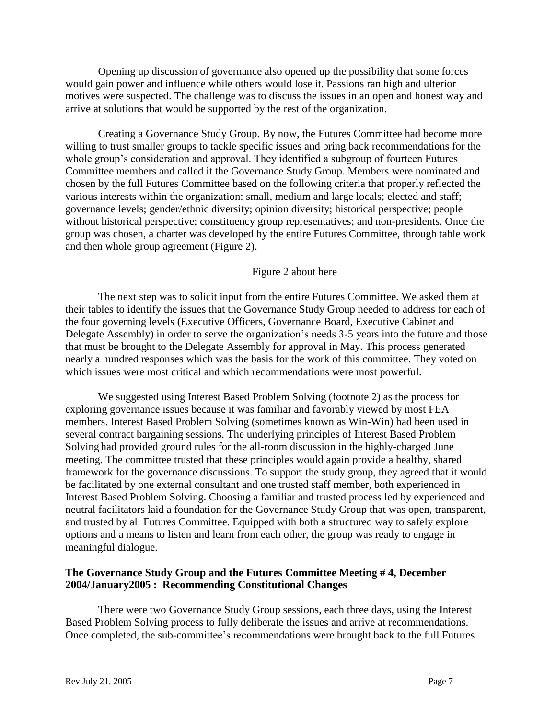Opening up discussion of governance also opened up the possibility that some forces would gain power and influence while others would lose it. Passions ran high and ulterior motives were suspected. The challenge was to discuss the issues in an open and honest way and arrive at solutions that would be supported by the rest of the organization.

Creating a Governance Study Group. By now, the Futures Committee had become more willing to trust smaller groups to tackle specific issues and bring back recommendations for the whole group's consideration and approval. They identified a subgroup of fourteen Futures Committee members and called it the Governance Study Group. Members were nominated and chosen by the full Futures Committee based on the following criteria that properly reflected the various interests within the organization: small, medium and large locals; elected and staff; governance levels; gender/ethnic diversity; opinion diversity; historical perspective; people without historical perspective; constituency group representatives; and non-presidents. Once the group was chosen, a charter was developed by the entire Futures Committee, through table work and then whole group agreement (Figure 2).

### Figure 2 about here

The next step was to solicit input from the entire Futures Committee. We asked them at their tables to identify the issues that the Governance Study Group needed to address for each of the four governing levels (Executive Officers, Governance Board, Executive Cabinet and Delegate Assembly) in order to serve the organization's needs 3-5 years into the future and those that must be brought to the Delegate Assembly for approval in May. This process generated nearly a hundred responses which was the basis for the work of this committee. They voted on which issues were most critical and which recommendations were most powerful.

We suggested using Interest Based Problem Solving (footnote 2) as the process for exploring governance issues because it was familiar and favorably viewed by most FEA members. Interest Based Problem Solving (sometimes known as Win-Win) had been used in several contract bargaining sessions. The underlying principles of Interest Based Problem Solving had provided ground rules for the all-room discussion in the highly-charged June meeting. The committee trusted that these principles would again provide a healthy, shared framework for the governance discussions. To support the study group, they agreed that it would be facilitated by one external consultant and one trusted staff member, both experienced in Interest Based Problem Solving. Choosing a familiar and trusted process led by experienced and neutral facilitators laid a foundation for the Governance Study Group that was open, transparent, and trusted by all Futures Committee. Equipped with both a structured way to safely explore options and a means to listen and learn from each other, the group was ready to engage in meaningful dialogue.

### **The Governance Study Group and the Futures Committee Meeting # 4, December 2004/January2005 : Recommending Constitutional Changes**

There were two Governance Study Group sessions, each three days, using the Interest Based Problem Solving process to fully deliberate the issues and arrive at recommendations. Once completed, the sub-committee's recommendations were brought back to the full Futures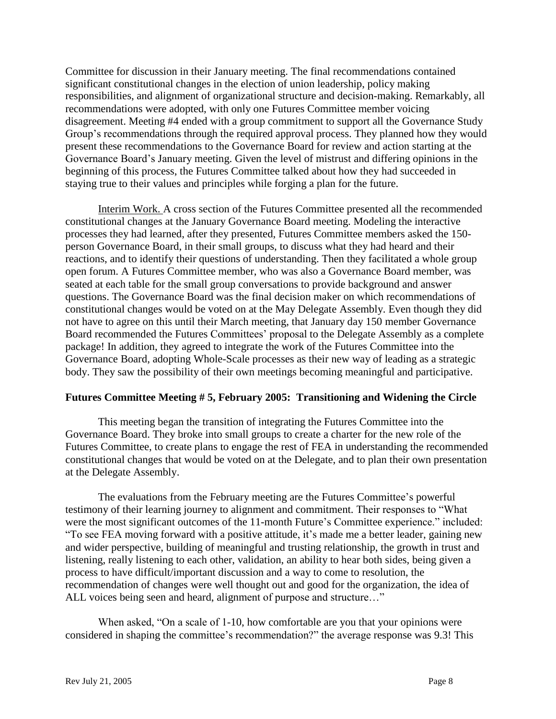Committee for discussion in their January meeting. The final recommendations contained significant constitutional changes in the election of union leadership, policy making responsibilities, and alignment of organizational structure and decision-making. Remarkably, all recommendations were adopted, with only one Futures Committee member voicing disagreement. Meeting #4 ended with a group commitment to support all the Governance Study Group's recommendations through the required approval process. They planned how they would present these recommendations to the Governance Board for review and action starting at the Governance Board's January meeting. Given the level of mistrust and differing opinions in the beginning of this process, the Futures Committee talked about how they had succeeded in staying true to their values and principles while forging a plan for the future.

Interim Work. A cross section of the Futures Committee presented all the recommended constitutional changes at the January Governance Board meeting. Modeling the interactive processes they had learned, after they presented, Futures Committee members asked the 150 person Governance Board, in their small groups, to discuss what they had heard and their reactions, and to identify their questions of understanding. Then they facilitated a whole group open forum. A Futures Committee member, who was also a Governance Board member, was seated at each table for the small group conversations to provide background and answer questions. The Governance Board was the final decision maker on which recommendations of constitutional changes would be voted on at the May Delegate Assembly. Even though they did not have to agree on this until their March meeting, that January day 150 member Governance Board recommended the Futures Committees' proposal to the Delegate Assembly as a complete package! In addition, they agreed to integrate the work of the Futures Committee into the Governance Board, adopting Whole-Scale processes as their new way of leading as a strategic body. They saw the possibility of their own meetings becoming meaningful and participative.

### **Futures Committee Meeting # 5, February 2005: Transitioning and Widening the Circle**

This meeting began the transition of integrating the Futures Committee into the Governance Board. They broke into small groups to create a charter for the new role of the Futures Committee, to create plans to engage the rest of FEA in understanding the recommended constitutional changes that would be voted on at the Delegate, and to plan their own presentation at the Delegate Assembly.

The evaluations from the February meeting are the Futures Committee's powerful testimony of their learning journey to alignment and commitment. Their responses to "What were the most significant outcomes of the 11-month Future's Committee experience." included: "To see FEA moving forward with a positive attitude, it's made me a better leader, gaining new and wider perspective, building of meaningful and trusting relationship, the growth in trust and listening, really listening to each other, validation, an ability to hear both sides, being given a process to have difficult/important discussion and a way to come to resolution, the recommendation of changes were well thought out and good for the organization, the idea of ALL voices being seen and heard, alignment of purpose and structure…"

When asked, "On a scale of 1-10, how comfortable are you that your opinions were considered in shaping the committee's recommendation?" the average response was 9.3! This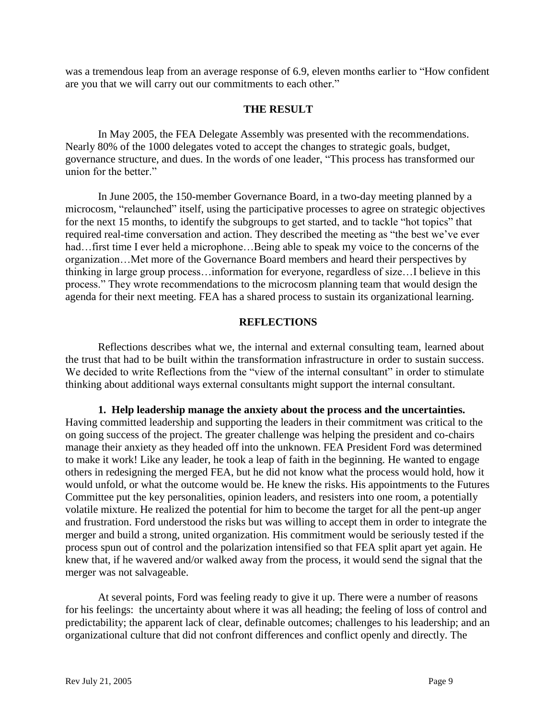was a tremendous leap from an average response of 6.9, eleven months earlier to "How confident are you that we will carry out our commitments to each other."

### **THE RESULT**

In May 2005, the FEA Delegate Assembly was presented with the recommendations. Nearly 80% of the 1000 delegates voted to accept the changes to strategic goals, budget, governance structure, and dues. In the words of one leader, "This process has transformed our union for the better."

In June 2005, the 150-member Governance Board, in a two-day meeting planned by a microcosm, "relaunched" itself, using the participative processes to agree on strategic objectives for the next 15 months, to identify the subgroups to get started, and to tackle "hot topics" that required real-time conversation and action. They described the meeting as "the best we've ever had...first time I ever held a microphone...Being able to speak my voice to the concerns of the organization…Met more of the Governance Board members and heard their perspectives by thinking in large group process…information for everyone, regardless of size…I believe in this process." They wrote recommendations to the microcosm planning team that would design the agenda for their next meeting. FEA has a shared process to sustain its organizational learning.

## **REFLECTIONS**

Reflections describes what we, the internal and external consulting team, learned about the trust that had to be built within the transformation infrastructure in order to sustain success. We decided to write Reflections from the "view of the internal consultant" in order to stimulate thinking about additional ways external consultants might support the internal consultant.

**1. Help leadership manage the anxiety about the process and the uncertainties.**  Having committed leadership and supporting the leaders in their commitment was critical to the on going success of the project. The greater challenge was helping the president and co-chairs manage their anxiety as they headed off into the unknown. FEA President Ford was determined to make it work! Like any leader, he took a leap of faith in the beginning. He wanted to engage others in redesigning the merged FEA, but he did not know what the process would hold, how it would unfold, or what the outcome would be. He knew the risks. His appointments to the Futures Committee put the key personalities, opinion leaders, and resisters into one room, a potentially volatile mixture. He realized the potential for him to become the target for all the pent-up anger and frustration. Ford understood the risks but was willing to accept them in order to integrate the merger and build a strong, united organization. His commitment would be seriously tested if the process spun out of control and the polarization intensified so that FEA split apart yet again. He knew that, if he wavered and/or walked away from the process, it would send the signal that the merger was not salvageable.

At several points, Ford was feeling ready to give it up. There were a number of reasons for his feelings: the uncertainty about where it was all heading; the feeling of loss of control and predictability; the apparent lack of clear, definable outcomes; challenges to his leadership; and an organizational culture that did not confront differences and conflict openly and directly. The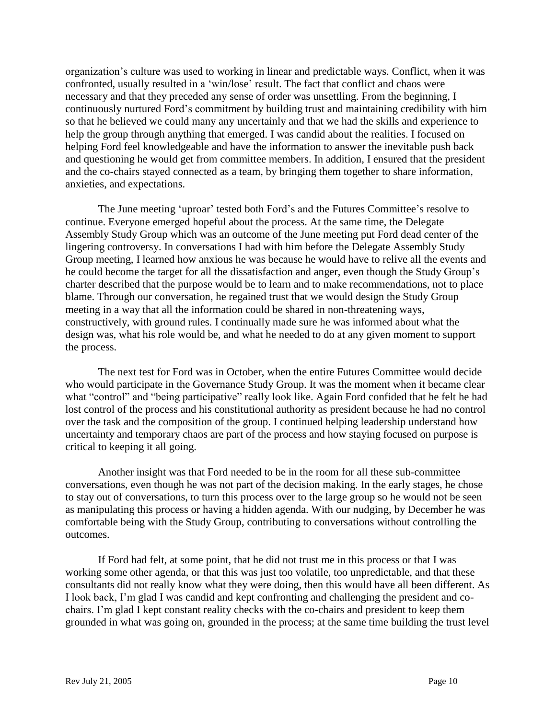organization's culture was used to working in linear and predictable ways. Conflict, when it was confronted, usually resulted in a 'win/lose' result. The fact that conflict and chaos were necessary and that they preceded any sense of order was unsettling. From the beginning, I continuously nurtured Ford's commitment by building trust and maintaining credibility with him so that he believed we could many any uncertainly and that we had the skills and experience to help the group through anything that emerged. I was candid about the realities. I focused on helping Ford feel knowledgeable and have the information to answer the inevitable push back and questioning he would get from committee members. In addition, I ensured that the president and the co-chairs stayed connected as a team, by bringing them together to share information, anxieties, and expectations.

The June meeting 'uproar' tested both Ford's and the Futures Committee's resolve to continue. Everyone emerged hopeful about the process. At the same time, the Delegate Assembly Study Group which was an outcome of the June meeting put Ford dead center of the lingering controversy. In conversations I had with him before the Delegate Assembly Study Group meeting, I learned how anxious he was because he would have to relive all the events and he could become the target for all the dissatisfaction and anger, even though the Study Group's charter described that the purpose would be to learn and to make recommendations, not to place blame. Through our conversation, he regained trust that we would design the Study Group meeting in a way that all the information could be shared in non-threatening ways, constructively, with ground rules. I continually made sure he was informed about what the design was, what his role would be, and what he needed to do at any given moment to support the process.

The next test for Ford was in October, when the entire Futures Committee would decide who would participate in the Governance Study Group. It was the moment when it became clear what "control" and "being participative" really look like. Again Ford confided that he felt he had lost control of the process and his constitutional authority as president because he had no control over the task and the composition of the group. I continued helping leadership understand how uncertainty and temporary chaos are part of the process and how staying focused on purpose is critical to keeping it all going.

Another insight was that Ford needed to be in the room for all these sub-committee conversations, even though he was not part of the decision making. In the early stages, he chose to stay out of conversations, to turn this process over to the large group so he would not be seen as manipulating this process or having a hidden agenda. With our nudging, by December he was comfortable being with the Study Group, contributing to conversations without controlling the outcomes.

If Ford had felt, at some point, that he did not trust me in this process or that I was working some other agenda, or that this was just too volatile, too unpredictable, and that these consultants did not really know what they were doing, then this would have all been different. As I look back, I'm glad I was candid and kept confronting and challenging the president and cochairs. I'm glad I kept constant reality checks with the co-chairs and president to keep them grounded in what was going on, grounded in the process; at the same time building the trust level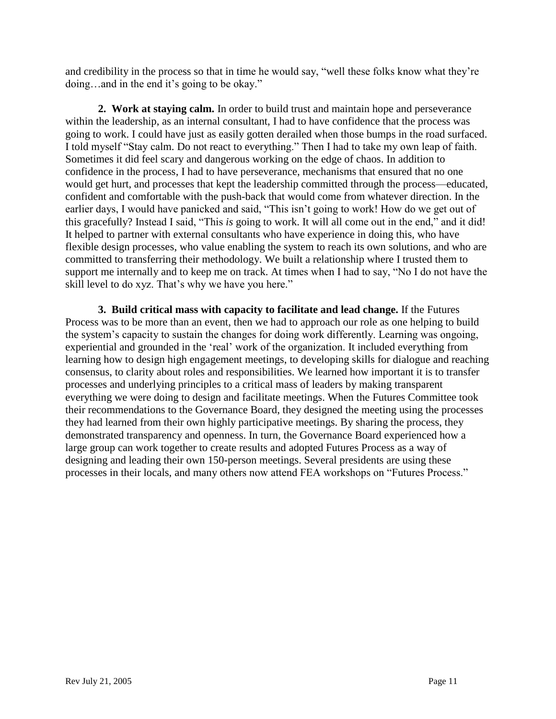and credibility in the process so that in time he would say, "well these folks know what they're doing…and in the end it's going to be okay."

**2. Work at staying calm.** In order to build trust and maintain hope and perseverance within the leadership, as an internal consultant, I had to have confidence that the process was going to work. I could have just as easily gotten derailed when those bumps in the road surfaced. I told myself "Stay calm. Do not react to everything." Then I had to take my own leap of faith. Sometimes it did feel scary and dangerous working on the edge of chaos. In addition to confidence in the process, I had to have perseverance, mechanisms that ensured that no one would get hurt, and processes that kept the leadership committed through the process—educated, confident and comfortable with the push-back that would come from whatever direction. In the earlier days, I would have panicked and said, "This isn't going to work! How do we get out of this gracefully? Instead I said, "This *is* going to work. It will all come out in the end," and it did! It helped to partner with external consultants who have experience in doing this, who have flexible design processes, who value enabling the system to reach its own solutions, and who are committed to transferring their methodology. We built a relationship where I trusted them to support me internally and to keep me on track. At times when I had to say, "No I do not have the skill level to do xyz. That's why we have you here."

**3. Build critical mass with capacity to facilitate and lead change.** If the Futures Process was to be more than an event, then we had to approach our role as one helping to build the system's capacity to sustain the changes for doing work differently. Learning was ongoing, experiential and grounded in the 'real' work of the organization. It included everything from learning how to design high engagement meetings, to developing skills for dialogue and reaching consensus, to clarity about roles and responsibilities. We learned how important it is to transfer processes and underlying principles to a critical mass of leaders by making transparent everything we were doing to design and facilitate meetings. When the Futures Committee took their recommendations to the Governance Board, they designed the meeting using the processes they had learned from their own highly participative meetings. By sharing the process, they demonstrated transparency and openness. In turn, the Governance Board experienced how a large group can work together to create results and adopted Futures Process as a way of designing and leading their own 150-person meetings. Several presidents are using these processes in their locals, and many others now attend FEA workshops on "Futures Process."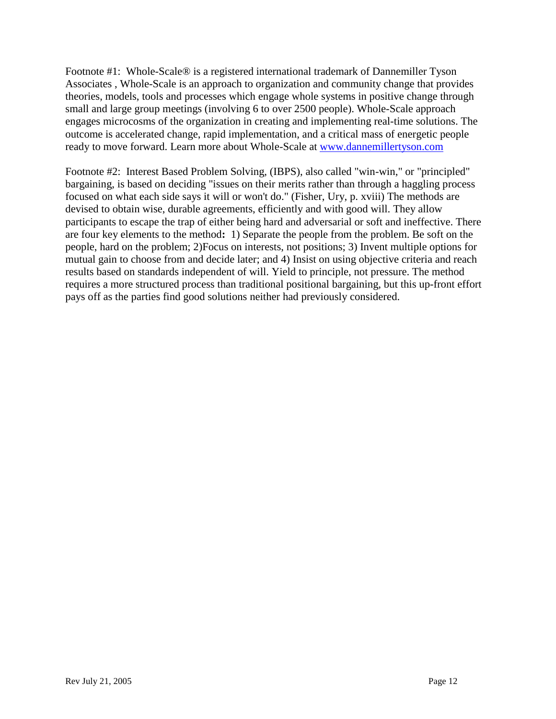Footnote #1: Whole-Scale® is a registered international trademark of Dannemiller Tyson Associates , Whole-Scale is an approach to organization and community change that provides theories, models, tools and processes which engage whole systems in positive change through small and large group meetings (involving 6 to over 2500 people). Whole-Scale approach engages microcosms of the organization in creating and implementing real-time solutions. The outcome is accelerated change, rapid implementation, and a critical mass of energetic people ready to move forward. Learn more about Whole-Scale at [www.dannemillertyson.com](http://www.dannemillertyson.com/)

Footnote #2: Interest Based Problem Solving, (IBPS), also called "win-win," or "principled" bargaining, is based on deciding "issues on their merits rather than through a haggling process focused on what each side says it will or won't do." (Fisher, Ury, p. xviii) The methods are devised to obtain wise, durable agreements, efficiently and with good will. They allow participants to escape the trap of either being hard and adversarial or soft and ineffective. There are four key elements to the method**:** 1) Separate the people from the problem. Be soft on the people, hard on the problem; 2)Focus on interests, not positions; 3) Invent multiple options for mutual gain to choose from and decide later; and 4) Insist on using objective criteria and reach results based on standards independent of will. Yield to principle, not pressure. The method requires a more structured process than traditional positional bargaining, but this up-front effort pays off as the parties find good solutions neither had previously considered.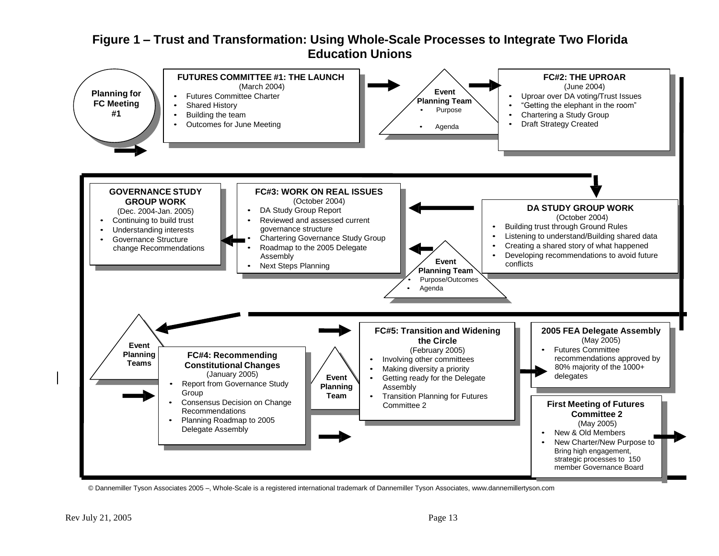# **Figure 1 – Trust and Transformation: Using Whole-Scale Processes to Integrate Two Florida Education Unions**



© Dannemiller Tyson Associates 2005 –, Whole-Scale is a registered international trademark of Dannemiller Tyson Associates, [www.dannemillertyson.com](http://www.dannemillertyson.com/)